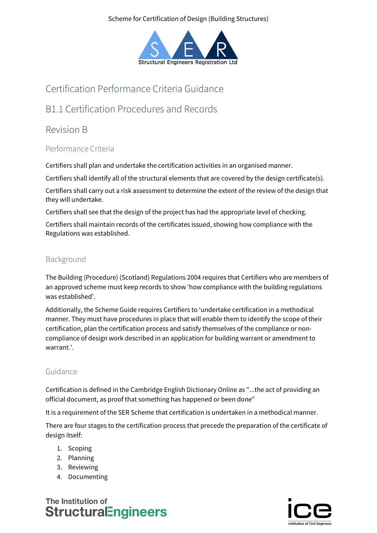#### Scheme for Certification of Design (Building Structures)



# Certification Performance Criteria Guidance

# B1.1 Certification Procedures and Records

# Revision B

## Performance Criteria

Certifiers shall plan and undertake the certification activities in an organised manner.

Certifiers shall identify all of the structural elements that are covered by the design certificate(s).

Certifiers shall carry out a risk assessment to determine the extent of the review of the design that they will undertake.

Certifiers shall see that the design of the project has had the appropriate level of checking.

Certifiers shall maintain records of the certificates issued, showing how compliance with the Regulations was established.

## Background

The Building (Procedure) (Scotland) Regulations 2004 requires that Certifiers who are members of an approved scheme must keep records to show 'how compliance with the building regulations was established'.

Additionally, the Scheme Guide requires Certifiers to 'undertake certification in a methodical manner. They must have procedures in place that will enable them to identify the scope of their certification, plan the certification process and satisfy themselves of the compliance or noncompliance of design work described in an application for building warrant or amendment to warrant.'.

## Guidance

Certification is defined in the Cambridge English Dictionary Online as "...the act of providing an official document, as proof that something has happened or been done"

It is a requirement of the SER Scheme that certification is undertaken in a methodical manner.

There are four stages to the certification process that precede the preparation of the certificate of design itself:

- 1. Scoping
- 2. Planning
- 3. Reviewing
- 4. Documenting

# The Institution of **StructuralEngineers**

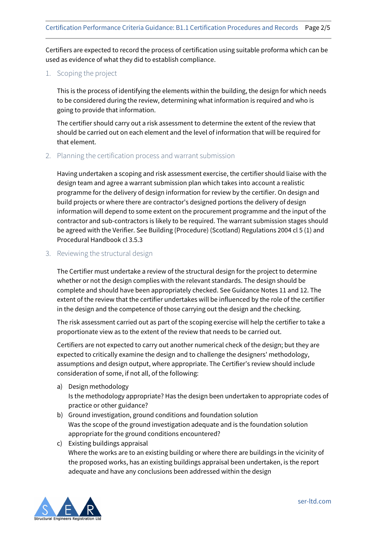Certifiers are expected to record the process of certification using suitable proforma which can be used as evidence of what they did to establish compliance.

#### 1. Scoping the project

This is the process of identifying the elements within the building, the design for which needs to be considered during the review, determining what information is required and who is going to provide that information.

The certifier should carry out a risk assessment to determine the extent of the review that should be carried out on each element and the level of information that will be required for that element.

#### 2. Planning the certification process and warrant submission

Having undertaken a scoping and risk assessment exercise, the certifier should liaise with the design team and agree a warrant submission plan which takes into account a realistic programme for the delivery of design information for review by the certifier. On design and build projects or where there are contractor's designed portions the delivery of design information will depend to some extent on the procurement programme and the input of the contractor and sub-contractors is likely to be required. The warrant submission stages should be agreed with the Verifier. See Building (Procedure) (Scotland) Regulations 2004 cl 5 (1) and Procedural Handbook cl 3.5.3

#### 3. Reviewing the structural design

The Certifier must undertake a review of the structural design for the project to determine whether or not the design complies with the relevant standards. The design should be complete and should have been appropriately checked. See Guidance Notes 11 and 12. The extent of the review that the certifier undertakes will be influenced by the role of the certifier in the design and the competence of those carrying out the design and the checking.

The risk assessment carried out as part of the scoping exercise will help the certifier to take a proportionate view as to the extent of the review that needs to be carried out.

Certifiers are not expected to carry out another numerical check of the design; but they are expected to critically examine the design and to challenge the designers' methodology, assumptions and design output, where appropriate. The Certifier's review should include consideration of some, if not all, of the following:

- a) Design methodology Is the methodology appropriate? Has the design been undertaken to appropriate codes of practice or other guidance?
- b) Ground investigation, ground conditions and foundation solution Was the scope of the ground investigation adequate and is the foundation solution appropriate for the ground conditions encountered?
- c) Existing buildings appraisal Where the works are to an existing building or where there are buildings in the vicinity of the proposed works, has an existing buildings appraisal been undertaken, is the report adequate and have any conclusions been addressed within the design

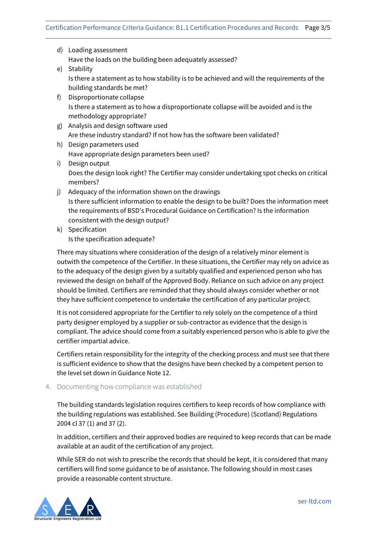- d) Loading assessment Have the loads on the building been adequately assessed?
- e) Stability Is there a statement as to how stability is to be achieved and will the requirements of the building standards be met?
- f) Disproportionate collapse Is there a statement as to how a disproportionate collapse will be avoided and is the methodology appropriate?
- g) Analysis and design software used Are these industry standard? If not how has the software been validated?
- h) Design parameters used Have appropriate design parameters been used?
- i) Design output Does the design look right? The Certifier may consider undertaking spot checks on critical members?
- j) Adequacy of the information shown on the drawings Is there sufficient information to enable the design to be built? Does the information meet the requirements of BSD's Procedural Guidance on Certification? Is the information consistent with the design output?
- k) Specification Is the specification adequate?

There may situations where consideration of the design of a relatively minor element is outwith the competence of the Certifier. In these situations, the Certifier may rely on advice as to the adequacy of the design given by a suitably qualified and experienced person who has reviewed the design on behalf of the Approved Body. Reliance on such advice on any project should be limited. Certifiers are reminded that they should always consider whether or not they have sufficient competence to undertake the certification of any particular project.

It is not considered appropriate for the Certifier to rely solely on the competence of a third party designer employed by a supplier or sub-contractor as evidence that the design is compliant. The advice should come from a suitably experienced person who is able to give the certifier impartial advice.

Certifiers retain responsibility for the integrity of the checking process and must see that there is sufficient evidence to show that the designs have been checked by a competent person to the level set down in Guidance Note 12.

### 4. Documenting how compliance was established

The building standards legislation requires certifiers to keep records of how compliance with the building regulations was established. See Building (Procedure) (Scotland) Regulations 2004 cl 37 (1) and 37 (2).

In addition, certifiers and their approved bodies are required to keep records that can be made available at an audit of the certification of any project.

While SER do not wish to prescribe the records that should be kept, it is considered that many certifiers will find some guidance to be of assistance. The following should in most cases provide a reasonable content structure.

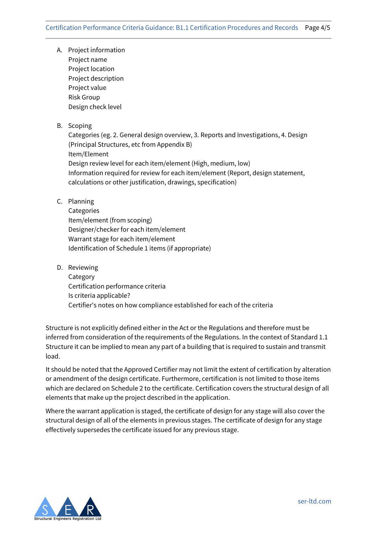- A. Project information Project name Project location Project description Project value Risk Group Design check level
- B. Scoping

Categories (eg. 2. General design overview, 3. Reports and Investigations, 4. Design (Principal Structures, etc from Appendix B) Item/Element Design review level for each item/element (High, medium, low) Information required for review for each item/element (Report, design statement, calculations or other justification, drawings, specification)

C. Planning

**Categories** Item/element (from scoping) Designer/checker for each item/element Warrant stage for each item/element Identification of Schedule 1 items (if appropriate)

D. Reviewing

Category Certification performance criteria Is criteria applicable? Certifier's notes on how compliance established for each of the criteria

Structure is not explicitly defined either in the Act or the Regulations and therefore must be inferred from consideration of the requirements of the Regulations. In the context of Standard 1.1 Structure it can be implied to mean any part of a building that is required to sustain and transmit load.

It should be noted that the Approved Certifier may not limit the extent of certification by alteration or amendment of the design certificate. Furthermore, certification is not limited to those items which are declared on Schedule 2 to the certificate. Certification covers the structural design of all elements that make up the project described in the application.

Where the warrant application is staged, the certificate of design for any stage will also cover the structural design of all of the elements in previous stages. The certificate of design for any stage effectively supersedes the certificate issued for any previous stage.



ser-ltd.com